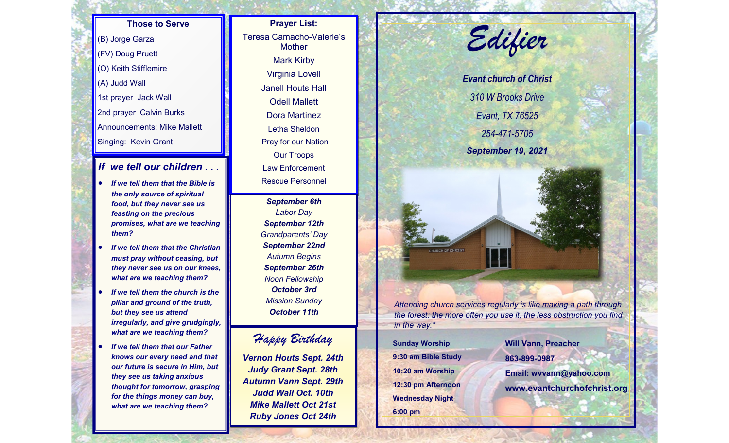**Those to Serve** (B) Jorge Garza (FV) Doug Pruett (O) Keith Stifflemire (A) Judd Wall 1st prayer Jack Wall 2nd prayer Calvin Burks Announcements: Mike Mallett Singing: Kevin Grant

## *If we tell our children . . .*

- *If we tell them that the Bible is the only source of spiritual food, but they never see us feasting on the precious promises, what are we teaching them?*
- *If we tell them that the Christian must pray without ceasing, but they never see us on our knees, what are we teaching them?*
- *If we tell them the church is the pillar and ground of the truth, but they see us attend irregularly, and give grudgingly, what are we teaching them?*
- *If we tell them that our Father knows our every need and that our future is secure in Him, but they see us taking anxious thought for tomorrow, grasping for the things money can buy, what are we teaching them?*

**Prayer List:**  Teresa Camacho-Valerie's **Mother** Mark Kirby Virginia Lovell Janell Houts Hall Odell Mallett Dora Martinez Letha Sheldon Pray for our Nation Our Troops Law Enforcement Rescue Personnel

> *September 6th Labor Day September 12th Grandparents' Day September 22nd Autumn Begins September 26th Noon Fellowship October 3rd Mission Sunday October 11th*

## *Happy Birthday*

*Vernon Houts Sept. 24th Judy Grant Sept. 28th Autumn Vann Sept. 29th Judd Wall Oct. 10th Mike Mallett Oct 21st Ruby Jones Oct 24th*

*Edifier*

*Evant church of Christ 310 W Brooks Drive Evant, TX 76525 254-471-5705 September 19, 2021*

*Attending church services regularly is like making a path through the forest: the more often you use it, the less obstruction you find in the way."*

**Sunday Worship: 9:30 am Bible Study 10:20 am Worship 12:30 pm Afternoon Wednesday Night 6:00 pm**

CHURCH OF CHRIST

**Will Vann, Preacher 863-899-0987 Email: wvvann@yahoo.com www.evantchurchofchrist.org**